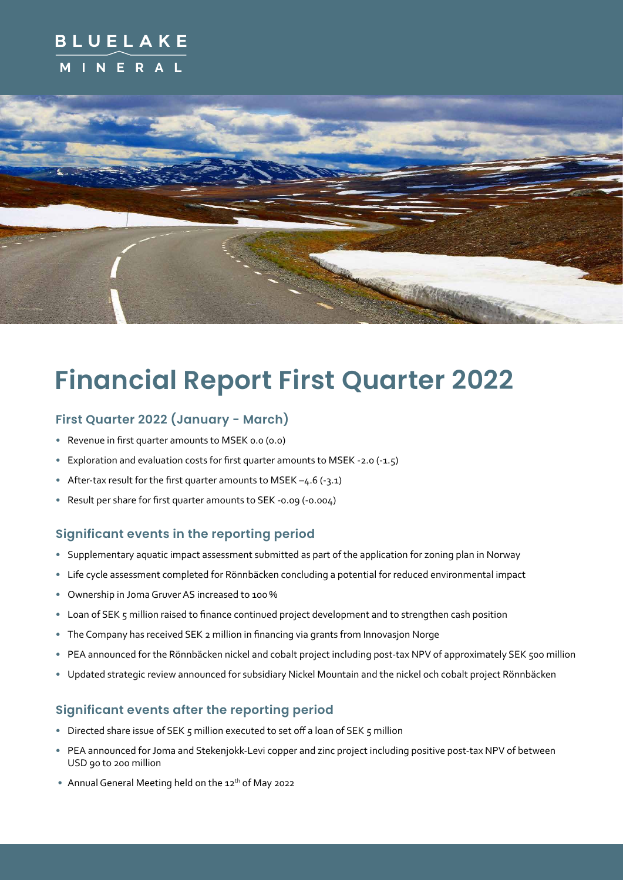## **BLUELAKE INERAL**



# **Financial Report First Quarter 2022**

## **First Quarter 2022 (January - March)**

- Revenue in first quarter amounts to MSEK 0.0 (0.0)
- Exploration and evaluation costs for first quarter amounts to MSEK -2.0 (-1.5)
- After-tax result for the first quarter amounts to MSEK  $-4.6$  (-3.1)
- Result per share for first quarter amounts to SEK -0.09 (-0.004)

### **Significant events in the reporting period**

- Supplementary aquatic impact assessment submitted as part of the application for zoning plan in Norway
- Life cycle assessment completed for Rönnbäcken concluding a potential for reduced environmental impact
- Ownership in Joma Gruver AS increased to 100 %
- Loan of SEK 5 million raised to finance continued project development and to strengthen cash position
- The Company has received SEK 2 million in financing via grants from Innovasjon Norge
- PEA announced for the Rönnbäcken nickel and cobalt project including post-tax NPV of approximately SEK 500 million
- Updated strategic review announced for subsidiary Nickel Mountain and the nickel och cobalt project Rönnbäcken

### **Significant events after the reporting period**

- Directed share issue of SEK 5 million executed to set off a loan of SEK 5 million
- PEA announced for Joma and Stekenjokk-Levi copper and zinc project including positive post-tax NPV of between USD 90 to 200 million
- Annual General Meeting held on the 12<sup>th</sup> of May 2022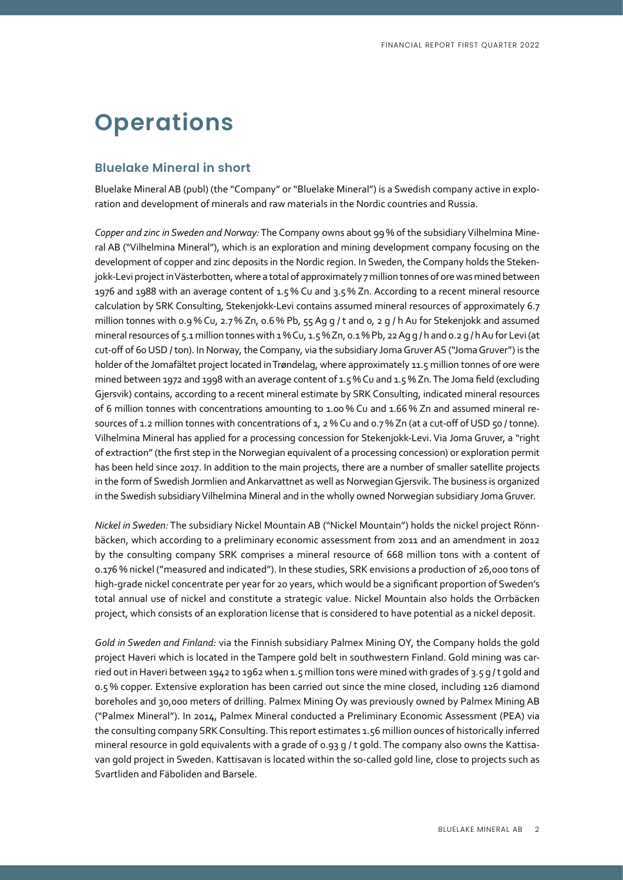# **Operations**

### **Bluelake Mineral in short**

Bluelake Mineral AB (publ) (the "Company" or "Bluelake Mineral") is a Swedish company active in exploration and development of minerals and raw materials in the Nordic countries and Russia.

*Copper and zinc in Sweden and Norway:* The Company owns about 99 % of the subsidiary Vilhelmina Mineral AB ("Vilhelmina Mineral"), which is an exploration and mining development company focusing on the development of copper and zinc deposits in the Nordic region. In Sweden, the Company holds the Stekenjokk-Levi project in Västerbotten, where a total of approximately 7 million tonnes of ore was mined between 1976 and 1988 with an average content of 1.5 % Cu and 3.5 % Zn. According to a recent mineral resource calculation by SRK Consulting, Stekenjokk-Levi contains assumed mineral resources of approximately 6.7 million tonnes with 0.9 % Cu, 2.7 % Zn, 0.6 % Pb, 55 Ag g / t and 0, 2 g / h Au for Stekenjokk and assumed mineral resources of 5.1 million tonnes with 1 % Cu, 1.5 % Zn, 0.1 % Pb, 22 Ag g / h and 0.2 g / h Au for Levi (at cut-off of 60 USD / ton). In Norway, the Company, via the subsidiary Joma Gruver AS ("Joma Gruver") is the holder of the Jomafältet project located in Trøndelag, where approximately 11.5 million tonnes of ore were mined between 1972 and 1998 with an average content of 1.5 % Cu and 1.5 % Zn. The Joma field (excluding Gjersvik) contains, according to a recent mineral estimate by SRK Consulting, indicated mineral resources of 6 million tonnes with concentrations amounting to 1.00 % Cu and 1.66 % Zn and assumed mineral resources of 1.2 million tonnes with concentrations of 1, 2 % Cu and 0.7 % Zn (at a cut-off of USD 50 / tonne). Vilhelmina Mineral has applied for a processing concession for Stekenjokk-Levi. Via Joma Gruver, a "right of extraction" (the first step in the Norwegian equivalent of a processing concession) or exploration permit has been held since 2017. In addition to the main projects, there are a number of smaller satellite projects in the form of Swedish Jormlien and Ankarvattnet as well as Norwegian Gjersvik. The business is organized in the Swedish subsidiary Vilhelmina Mineral and in the wholly owned Norwegian subsidiary Joma Gruver.

*Nickel in Sweden:* The subsidiary Nickel Mountain AB ("Nickel Mountain") holds the nickel project Rönnbäcken, which according to a preliminary economic assessment from 2011 and an amendment in 2012 by the consulting company SRK comprises a mineral resource of 668 million tons with a content of 0.176 % nickel ("measured and indicated"). In these studies, SRK envisions a production of 26,000 tons of high-grade nickel concentrate per year for 20 years, which would be a significant proportion of Sweden's total annual use of nickel and constitute a strategic value. Nickel Mountain also holds the Orrbäcken project, which consists of an exploration license that is considered to have potential as a nickel deposit.

*Gold in Sweden and Finland:* via the Finnish subsidiary Palmex Mining OY, the Company holds the gold project Haveri which is located in the Tampere gold belt in southwestern Finland. Gold mining was carried out in Haveri between 1942 to 1962 when 1.5 million tons were mined with grades of 3.5 g /t gold and 0.5 % copper. Extensive exploration has been carried out since the mine closed, including 126 diamond boreholes and 30,000 meters of drilling. Palmex Mining Oy was previously owned by Palmex Mining AB ("Palmex Mineral"). In 2014, Palmex Mineral conducted a Preliminary Economic Assessment (PEA) via the consulting company SRK Consulting. This report estimates 1.56 million ounces of historically inferred mineral resource in gold equivalents with a grade of 0.93 g / t gold. The company also owns the Kattisavan gold project in Sweden. Kattisavan is located within the so-called gold line, close to projects such as Svartliden and Fäboliden and Barsele.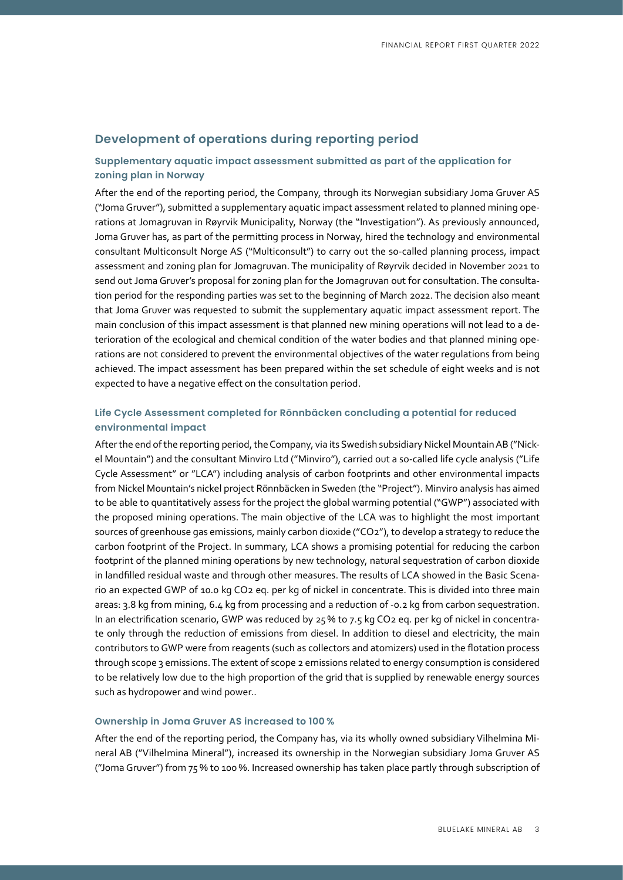### **Development of operations during reporting period**

#### **Supplementary aquatic impact assessment submitted as part of the application for zoning plan in Norway**

After the end of the reporting period, the Company, through its Norwegian subsidiary Joma Gruver AS ("Joma Gruver"), submitted a supplementary aquatic impact assessment related to planned mining operations at Jomagruvan in Røyrvik Municipality, Norway (the "Investigation"). As previously announced, Joma Gruver has, as part of the permitting process in Norway, hired the technology and environmental consultant Multiconsult Norge AS ("Multiconsult") to carry out the so-called planning process, impact assessment and zoning plan for Jomagruvan. The municipality of Røyrvik decided in November 2021 to send out Joma Gruver's proposal for zoning plan for the Jomagruvan out for consultation. The consultation period for the responding parties was set to the beginning of March 2022. The decision also meant that Joma Gruver was requested to submit the supplementary aquatic impact assessment report. The main conclusion of this impact assessment is that planned new mining operations will not lead to a deterioration of the ecological and chemical condition of the water bodies and that planned mining operations are not considered to prevent the environmental objectives of the water regulations from being achieved. The impact assessment has been prepared within the set schedule of eight weeks and is not expected to have a negative effect on the consultation period.

#### **Life Cycle Assessment completed for Rönnbäcken concluding a potential for reduced environmental impact**

After the end of the reporting period, the Company, via its Swedish subsidiary Nickel Mountain AB ("Nickel Mountain") and the consultant Minviro Ltd ("Minviro"), carried out a so-called life cycle analysis ("Life Cycle Assessment" or "LCA") including analysis of carbon footprints and other environmental impacts from Nickel Mountain's nickel project Rönnbäcken in Sweden (the "Project"). Minviro analysis has aimed to be able to quantitatively assess for the project the global warming potential ("GWP") associated with the proposed mining operations. The main objective of the LCA was to highlight the most important sources of greenhouse gas emissions, mainly carbon dioxide ("CO2"), to develop a strategy to reduce the carbon footprint of the Project. In summary, LCA shows a promising potential for reducing the carbon footprint of the planned mining operations by new technology, natural sequestration of carbon dioxide in landfilled residual waste and through other measures. The results of LCA showed in the Basic Scenario an expected GWP of 10.0 kg CO2 eq. per kg of nickel in concentrate. This is divided into three main areas: 3.8 kg from mining, 6.4 kg from processing and a reduction of -0.2 kg from carbon sequestration. In an electrification scenario, GWP was reduced by 25% to 7.5 kg CO2 eq. per kg of nickel in concentrate only through the reduction of emissions from diesel. In addition to diesel and electricity, the main contributors to GWP were from reagents (such as collectors and atomizers) used in the flotation process through scope 3 emissions. The extent of scope 2 emissions related to energy consumption is considered to be relatively low due to the high proportion of the grid that is supplied by renewable energy sources such as hydropower and wind power..

#### **Ownership in Joma Gruver AS increased to 100 %**

After the end of the reporting period, the Company has, via its wholly owned subsidiary Vilhelmina Mineral AB ("Vilhelmina Mineral"), increased its ownership in the Norwegian subsidiary Joma Gruver AS ("Joma Gruver") from 75 % to 100 %. Increased ownership has taken place partly through subscription of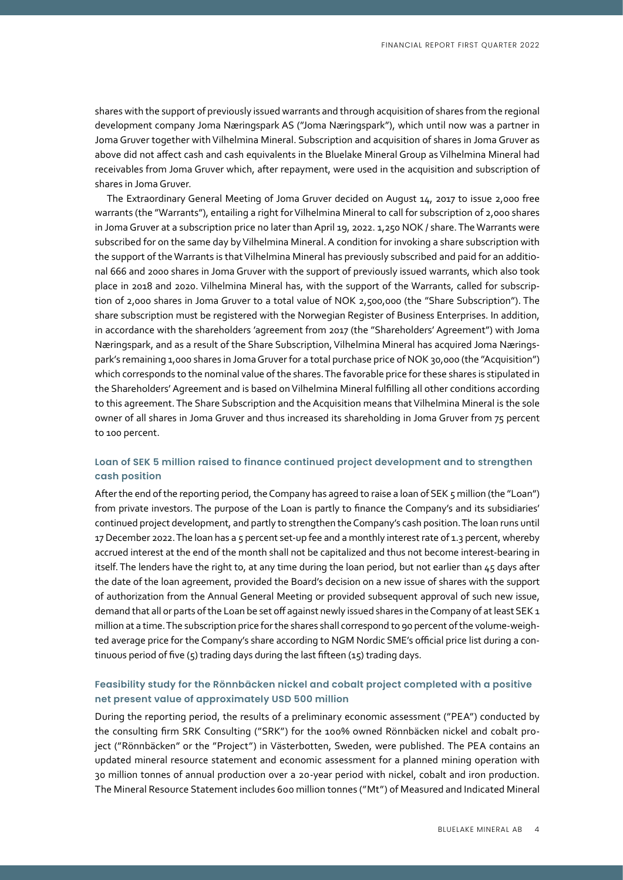shares with the support of previously issued warrants and through acquisition of shares from the regional development company Joma Næringspark AS ("Joma Næringspark"), which until now was a partner in Joma Gruver together with Vilhelmina Mineral. Subscription and acquisition of shares in Joma Gruver as above did not affect cash and cash equivalents in the Bluelake Mineral Group as Vilhelmina Mineral had receivables from Joma Gruver which, after repayment, were used in the acquisition and subscription of shares in Joma Gruver.

The Extraordinary General Meeting of Joma Gruver decided on August 14, 2017 to issue 2,000 free warrants (the "Warrants"), entailing a right for Vilhelmina Mineral to call for subscription of 2,000 shares in Joma Gruver at a subscription price no later than April 19, 2022. 1,250 NOK / share. The Warrants were subscribed for on the same day by Vilhelmina Mineral. A condition for invoking a share subscription with the support of the Warrants is that Vilhelmina Mineral has previously subscribed and paid for an additional 666 and 2000 shares in Joma Gruver with the support of previously issued warrants, which also took place in 2018 and 2020. Vilhelmina Mineral has, with the support of the Warrants, called for subscription of 2,000 shares in Joma Gruver to a total value of NOK 2,500,000 (the "Share Subscription"). The share subscription must be registered with the Norwegian Register of Business Enterprises. In addition, in accordance with the shareholders 'agreement from 2017 (the "Shareholders' Agreement") with Joma Næringspark, and as a result of the Share Subscription, Vilhelmina Mineral has acquired Joma Næringspark's remaining 1,000 shares in Joma Gruver for a total purchase price of NOK 30,000 (the "Acquisition") which corresponds to the nominal value of the shares. The favorable price for these shares is stipulated in the Shareholders' Agreement and is based on Vilhelmina Mineral fulfilling all other conditions according to this agreement. The Share Subscription and the Acquisition means that Vilhelmina Mineral is the sole owner of all shares in Joma Gruver and thus increased its shareholding in Joma Gruver from 75 percent to 100 percent.

#### **Loan of SEK 5 million raised to finance continued project development and to strengthen cash position**

After the end of the reporting period, the Company has agreed to raise a loan of SEK 5 million (the "Loan") from private investors. The purpose of the Loan is partly to finance the Company's and its subsidiaries' continued project development, and partly to strengthen the Company's cash position. The loan runs until 17 December 2022. The loan has a 5 percent set-up fee and a monthly interest rate of 1.3 percent, whereby accrued interest at the end of the month shall not be capitalized and thus not become interest-bearing in itself. The lenders have the right to, at any time during the loan period, but not earlier than 45 days after the date of the loan agreement, provided the Board's decision on a new issue of shares with the support of authorization from the Annual General Meeting or provided subsequent approval of such new issue, demand that all or parts of the Loan be set off against newly issued shares in the Company of at least SEK 1 million at a time. The subscription price for the shares shall correspond to 90 percent of the volume-weighted average price for the Company's share according to NGM Nordic SME's official price list during a continuous period of five (5) trading days during the last fifteen (15) trading days.

#### **Feasibility study for the Rönnbäcken nickel and cobalt project completed with a positive net present value of approximately USD 500 million**

During the reporting period, the results of a preliminary economic assessment ("PEA") conducted by the consulting firm SRK Consulting ("SRK") for the 100% owned Rönnbäcken nickel and cobalt project ("Rönnbäcken" or the "Project") in Västerbotten, Sweden, were published. The PEA contains an updated mineral resource statement and economic assessment for a planned mining operation with 30 million tonnes of annual production over a 20-year period with nickel, cobalt and iron production. The Mineral Resource Statement includes 600 million tonnes ("Mt") of Measured and Indicated Mineral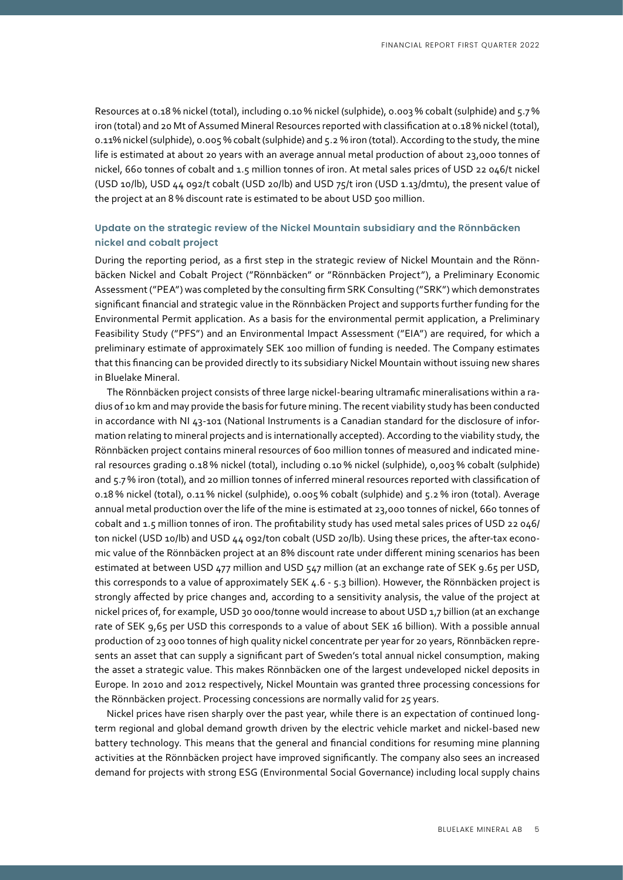Resources at 0.18 % nickel (total), including 0.10 % nickel (sulphide), 0.003 % cobalt (sulphide) and 5.7 % iron (total) and 20 Mt of Assumed Mineral Resources reported with classification at 0.18 % nickel (total), 0.11% nickel (sulphide), 0.005 % cobalt (sulphide) and 5.2 % iron (total). According to the study, the mine life is estimated at about 20 years with an average annual metal production of about 23,000 tonnes of nickel, 660 tonnes of cobalt and 1.5 million tonnes of iron. At metal sales prices of USD 22 046/t nickel (USD 10/lb), USD 44 092/t cobalt (USD 20/lb) and USD 75/t iron (USD 1.13/dmtu), the present value of the project at an 8 % discount rate is estimated to be about USD 500 million.

#### **Update on the strategic review of the Nickel Mountain subsidiary and the Rönnbäcken nickel and cobalt project**

During the reporting period, as a first step in the strategic review of Nickel Mountain and the Rönnbäcken Nickel and Cobalt Project ("Rönnbäcken" or "Rönnbäcken Project"), a Preliminary Economic Assessment ("PEA") was completed by the consulting firm SRK Consulting ("SRK") which demonstrates significant financial and strategic value in the Rönnbäcken Project and supports further funding for the Environmental Permit application. As a basis for the environmental permit application, a Preliminary Feasibility Study ("PFS") and an Environmental Impact Assessment ("EIA") are required, for which a preliminary estimate of approximately SEK 100 million of funding is needed. The Company estimates that this financing can be provided directly to its subsidiary Nickel Mountain without issuing new shares in Bluelake Mineral.

The Rönnbäcken project consists of three large nickel-bearing ultramafic mineralisations within a radius of 10 km and may provide the basis for future mining. The recent viability study has been conducted in accordance with NI 43-101 (National Instruments is a Canadian standard for the disclosure of information relating to mineral projects and is internationally accepted). According to the viability study, the Rönnbäcken project contains mineral resources of 600 million tonnes of measured and indicated mineral resources grading 0.18 % nickel (total), including 0.10 % nickel (sulphide), 0,003 % cobalt (sulphide) and 5.7% iron (total), and 20 million tonnes of inferred mineral resources reported with classification of 0.18 % nickel (total), 0.11 % nickel (sulphide), 0.005 % cobalt (sulphide) and 5.2 % iron (total). Average annual metal production over the life of the mine is estimated at 23,000 tonnes of nickel, 660 tonnes of cobalt and 1.5 million tonnes of iron. The profitability study has used metal sales prices of USD 22 046/ ton nickel (USD 10/lb) and USD 44 092/ton cobalt (USD 20/lb). Using these prices, the after-tax economic value of the Rönnbäcken project at an 8% discount rate under different mining scenarios has been estimated at between USD 477 million and USD 547 million (at an exchange rate of SEK 9.65 per USD, this corresponds to a value of approximately SEK 4.6 - 5.3 billion). However, the Rönnbäcken project is strongly affected by price changes and, according to a sensitivity analysis, the value of the project at nickel prices of, for example, USD 30 000/tonne would increase to about USD 1,7 billion (at an exchange rate of SEK 9,65 per USD this corresponds to a value of about SEK 16 billion). With a possible annual production of 23 000 tonnes of high quality nickel concentrate per year for 20 years, Rönnbäcken represents an asset that can supply a significant part of Sweden's total annual nickel consumption, making the asset a strategic value. This makes Rönnbäcken one of the largest undeveloped nickel deposits in Europe. In 2010 and 2012 respectively, Nickel Mountain was granted three processing concessions for the Rönnbäcken project. Processing concessions are normally valid for 25 years.

Nickel prices have risen sharply over the past year, while there is an expectation of continued longterm regional and global demand growth driven by the electric vehicle market and nickel-based new battery technology. This means that the general and financial conditions for resuming mine planning activities at the Rönnbäcken project have improved significantly. The company also sees an increased demand for projects with strong ESG (Environmental Social Governance) including local supply chains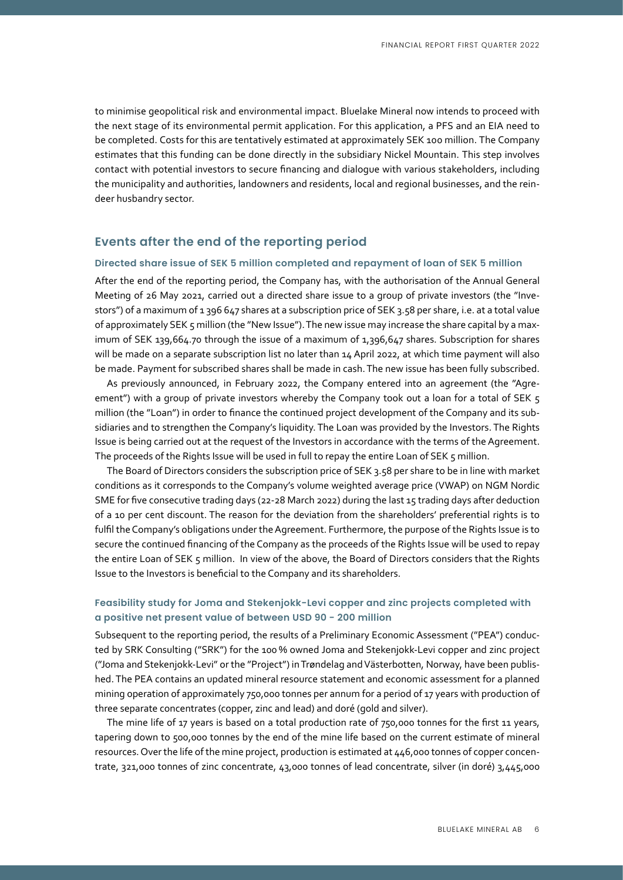to minimise geopolitical risk and environmental impact. Bluelake Mineral now intends to proceed with the next stage of its environmental permit application. For this application, a PFS and an EIA need to be completed. Costs for this are tentatively estimated at approximately SEK 100 million. The Company estimates that this funding can be done directly in the subsidiary Nickel Mountain. This step involves contact with potential investors to secure financing and dialogue with various stakeholders, including the municipality and authorities, landowners and residents, local and regional businesses, and the reindeer husbandry sector.

#### **Events after the end of the reporting period**

#### **Directed share issue of SEK 5 million completed and repayment of loan of SEK 5 million**

After the end of the reporting period, the Company has, with the authorisation of the Annual General Meeting of 26 May 2021, carried out a directed share issue to a group of private investors (the "Investors") of a maximum of 1 396 647 shares at a subscription price of SEK 3.58 per share, i.e. at a total value of approximately SEK 5 million (the "New Issue"). The new issue may increase the share capital by a maximum of SEK 139,664.70 through the issue of a maximum of 1,396,647 shares. Subscription for shares will be made on a separate subscription list no later than 14 April 2022, at which time payment will also be made. Payment for subscribed shares shall be made in cash. The new issue has been fully subscribed.

As previously announced, in February 2022, the Company entered into an agreement (the "Agreement") with a group of private investors whereby the Company took out a loan for a total of SEK 5 million (the "Loan") in order to finance the continued project development of the Company and its subsidiaries and to strengthen the Company's liquidity. The Loan was provided by the Investors. The Rights Issue is being carried out at the request of the Investors in accordance with the terms of the Agreement. The proceeds of the Rights Issue will be used in full to repay the entire Loan of SEK 5 million.

The Board of Directors considers the subscription price of SEK 3.58 per share to be in line with market conditions as it corresponds to the Company's volume weighted average price (VWAP) on NGM Nordic SME for five consecutive trading days (22-28 March 2022) during the last 15 trading days after deduction of a 10 per cent discount. The reason for the deviation from the shareholders' preferential rights is to fulfil the Company's obligations under the Agreement. Furthermore, the purpose of the Rights Issue is to secure the continued financing of the Company as the proceeds of the Rights Issue will be used to repay the entire Loan of SEK 5 million. In view of the above, the Board of Directors considers that the Rights Issue to the Investors is beneficial to the Company and its shareholders.

#### **Feasibility study for Joma and Stekenjokk-Levi copper and zinc projects completed with a positive net present value of between USD 90 - 200 million**

Subsequent to the reporting period, the results of a Preliminary Economic Assessment ("PEA") conducted by SRK Consulting ("SRK") for the 100 % owned Joma and Stekenjokk-Levi copper and zinc project ("Joma and Stekenjokk-Levi" or the "Project") in Trøndelag and Västerbotten, Norway, have been published. The PEA contains an updated mineral resource statement and economic assessment for a planned mining operation of approximately 750,000 tonnes per annum for a period of 17 years with production of three separate concentrates (copper, zinc and lead) and doré (gold and silver).

The mine life of 17 years is based on a total production rate of 750,000 tonnes for the first 11 years, tapering down to 500,000 tonnes by the end of the mine life based on the current estimate of mineral resources. Over the life of the mine project, production is estimated at 446,000 tonnes of copper concentrate, 321,000 tonnes of zinc concentrate, 43,000 tonnes of lead concentrate, silver (in doré) 3,445,000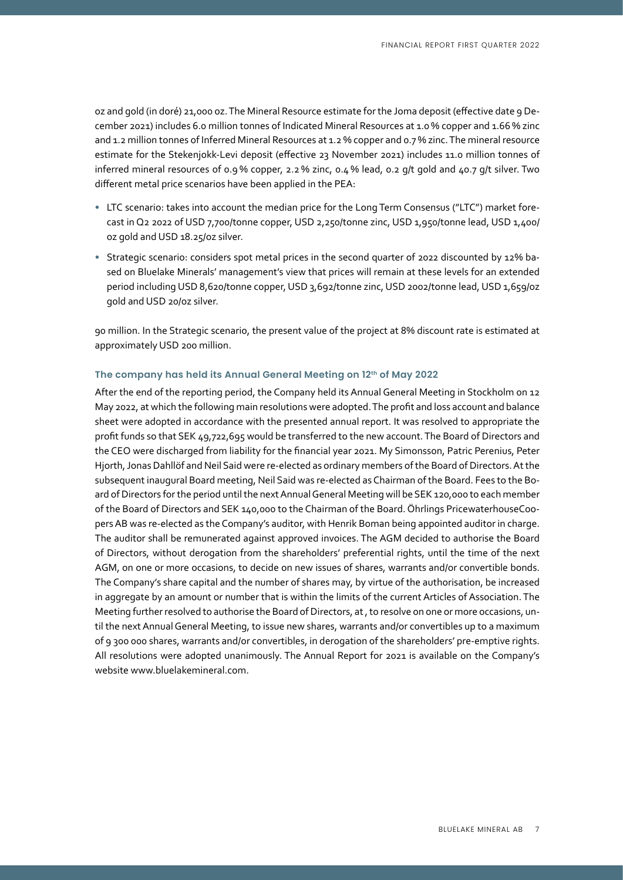oz and gold (in doré) 21,000 oz. The Mineral Resource estimate for the Joma deposit (effective date 9 December 2021) includes 6.0 million tonnes of Indicated Mineral Resources at 1.0 % copper and 1.66 % zinc and 1.2 million tonnes of Inferred Mineral Resources at 1.2 % copper and 0.7 % zinc. The mineral resource estimate for the Stekenjokk-Levi deposit (effective 23 November 2021) includes 11.0 million tonnes of inferred mineral resources of 0.9 % copper, 2.2 % zinc, 0.4 % lead, 0.2 g/t gold and 40.7 g/t silver. Two different metal price scenarios have been applied in the PEA:

- LTC scenario: takes into account the median price for the Long Term Consensus ("LTC") market forecast in Q2 2022 of USD 7,700/tonne copper, USD 2,250/tonne zinc, USD 1,950/tonne lead, USD 1,400/ oz gold and USD 18.25/oz silver.
- Strategic scenario: considers spot metal prices in the second quarter of 2022 discounted by 12% based on Bluelake Minerals' management's view that prices will remain at these levels for an extended period including USD 8,620/tonne copper, USD 3,692/tonne zinc, USD 2002/tonne lead, USD 1,659/oz gold and USD 20/oz silver.

90 million. In the Strategic scenario, the present value of the project at 8% discount rate is estimated at approximately USD 200 million.

#### **The company has held its Annual General Meeting on 12th of May 2022**

After the end of the reporting period, the Company held its Annual General Meeting in Stockholm on 12 May 2022, at which the following main resolutions were adopted. The profit and loss account and balance sheet were adopted in accordance with the presented annual report. It was resolved to appropriate the profit funds so that SEK 49,722,695 would be transferred to the new account. The Board of Directors and the CEO were discharged from liability for the financial year 2021. My Simonsson, Patric Perenius, Peter Hjorth, Jonas Dahllöf and Neil Said were re-elected as ordinary members of the Board of Directors. At the subsequent inaugural Board meeting, Neil Said was re-elected as Chairman of the Board. Fees to the Board of Directors for the period until the next Annual General Meeting will be SEK 120,000 to each member of the Board of Directors and SEK 140,000 to the Chairman of the Board. Öhrlings PricewaterhouseCoopers AB was re-elected as the Company's auditor, with Henrik Boman being appointed auditor in charge. The auditor shall be remunerated against approved invoices. The AGM decided to authorise the Board of Directors, without derogation from the shareholders' preferential rights, until the time of the next AGM, on one or more occasions, to decide on new issues of shares, warrants and/or convertible bonds. The Company's share capital and the number of shares may, by virtue of the authorisation, be increased in aggregate by an amount or number that is within the limits of the current Articles of Association. The Meeting further resolved to authorise the Board of Directors, at , to resolve on one or more occasions, until the next Annual General Meeting, to issue new shares, warrants and/or convertibles up to a maximum of 9 300 000 shares, warrants and/or convertibles, in derogation of the shareholders' pre-emptive rights. All resolutions were adopted unanimously. The Annual Report for 2021 is available on the Company's website www.bluelakemineral.com.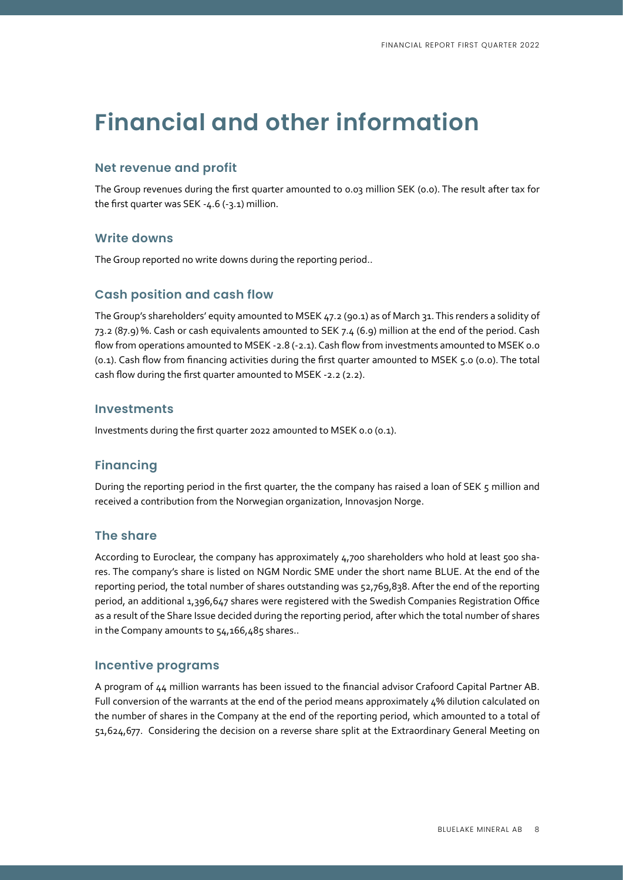# **Financial and other information**

### **Net revenue and profit**

The Group revenues during the first quarter amounted to 0.03 million SEK (0.0). The result after tax for the first quarter was SEK -4.6 (-3.1) million.

#### **Write downs**

The Group reported no write downs during the reporting period..

### **Cash position and cash flow**

The Group's shareholders' equity amounted to MSEK 47.2 (90.1) as of March 31. This renders a solidity of 73.2 (87.9) %. Cash or cash equivalents amounted to SEK 7.4 (6.9) million at the end of the period. Cash flow from operations amounted to MSEK -2.8 (-2.1). Cash flow from investments amounted to MSEK 0.0 (0.1). Cash flow from financing activities during the first quarter amounted to MSEK 5.0 (0.0). The total cash flow during the first quarter amounted to MSEK -2.2 (2.2).

#### **Investments**

Investments during the first quarter 2022 amounted to MSEK 0.0 (0.1).

### **Financing**

During the reporting period in the first quarter, the the company has raised a loan of SEK 5 million and received a contribution from the Norwegian organization, Innovasjon Norge.

#### **The share**

According to Euroclear, the company has approximately 4,700 shareholders who hold at least 500 shares. The company's share is listed on NGM Nordic SME under the short name BLUE. At the end of the reporting period, the total number of shares outstanding was 52,769,838. After the end of the reporting period, an additional 1,396,647 shares were registered with the Swedish Companies Registration Office as a result of the Share Issue decided during the reporting period, after which the total number of shares in the Company amounts to 54,166,485 shares..

#### **Incentive programs**

A program of 44 million warrants has been issued to the financial advisor Crafoord Capital Partner AB. Full conversion of the warrants at the end of the period means approximately 4% dilution calculated on the number of shares in the Company at the end of the reporting period, which amounted to a total of 51,624,677. Considering the decision on a reverse share split at the Extraordinary General Meeting on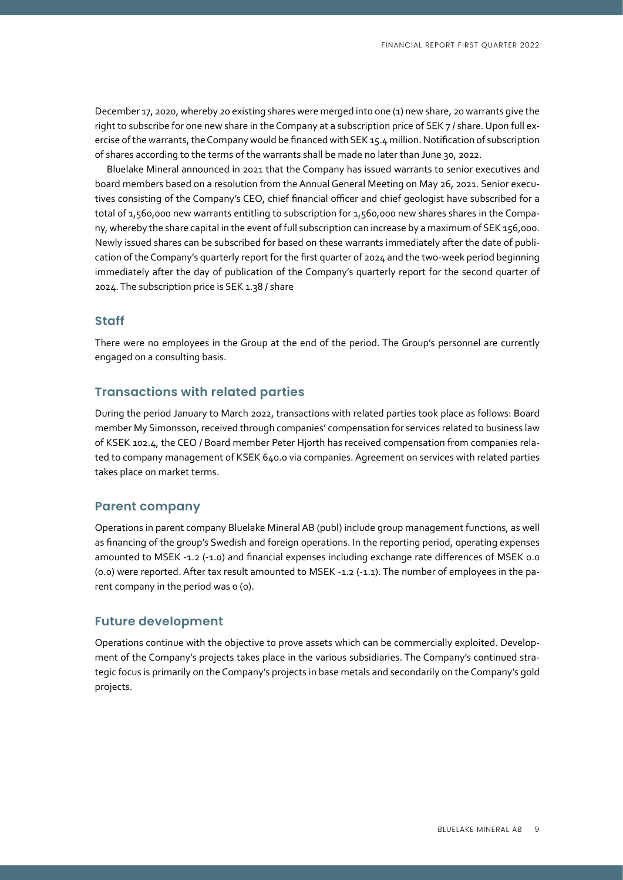December 17, 2020, whereby 20 existing shares were merged into one (1) new share, 20 warrants give the right to subscribe for one new share in the Company at a subscription price of SEK 7 / share. Upon full exercise of the warrants, the Company would be financed with SEK 15.4 million. Notification of subscription of shares according to the terms of the warrants shall be made no later than June 30, 2022.

Bluelake Mineral announced in 2021 that the Company has issued warrants to senior executives and board members based on a resolution from the Annual General Meeting on May 26, 2021. Senior executives consisting of the Company's CEO, chief financial officer and chief geologist have subscribed for a total of 1,560,000 new warrants entitling to subscription for 1,560,000 new shares shares in the Company, whereby the share capital in the event of full subscription can increase by a maximum of SEK 156,000. Newly issued shares can be subscribed for based on these warrants immediately after the date of publication of the Company's quarterly report for the first quarter of 2024 and the two-week period beginning immediately after the day of publication of the Company's quarterly report for the second quarter of 2024. The subscription price is SEK 1.38 / share

#### **Staff**

There were no employees in the Group at the end of the period. The Group's personnel are currently engaged on a consulting basis.

#### **Transactions with related parties**

During the period January to March 2022, transactions with related parties took place as follows: Board member My Simonsson, received through companies' compensation for services related to business law of KSEK 102.4, the CEO / Board member Peter Hjorth has received compensation from companies related to company management of KSEK 640.0 via companies. Agreement on services with related parties takes place on market terms.

#### **Parent company**

Operations in parent company Bluelake Mineral AB (publ) include group management functions, as well as financing of the group's Swedish and foreign operations. In the reporting period, operating expenses amounted to MSEK -1.2 (-1.0) and financial expenses including exchange rate differences of MSEK 0.0 (0.0) were reported. After tax result amounted to MSEK -1.2 (-1.1). The number of employees in the parent company in the period was o (o).

#### **Future development**

Operations continue with the objective to prove assets which can be commercially exploited. Development of the Company's projects takes place in the various subsidiaries. The Company's continued strategic focus is primarily on the Company's projects in base metals and secondarily on the Company's gold projects.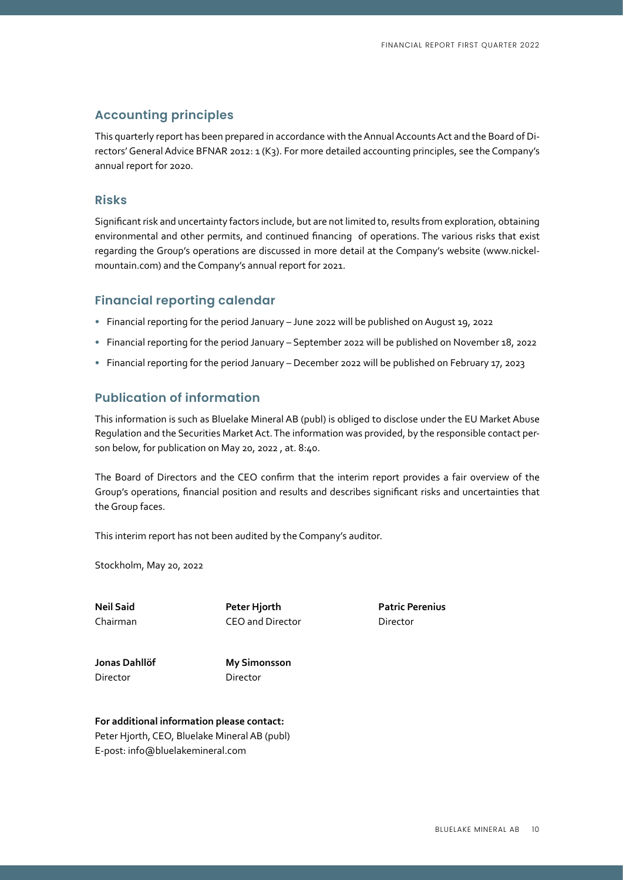### **Accounting principles**

This quarterly report has been prepared in accordance with the Annual Accounts Act and the Board of Directors' General Advice BFNAR 2012: 1 (K3). For more detailed accounting principles, see the Company's annual report for 2020.

#### **Risks**

Significant risk and uncertainty factors include, but are not limited to, results from exploration, obtaining environmental and other permits, and continued financing of operations. The various risks that exist regarding the Group's operations are discussed in more detail at the Company's website (www.nickelmountain.com) and the Company's annual report for 2021.

#### **Financial reporting calendar**

- Financial reporting for the period January June 2022 will be published on August 19, 2022
- Financial reporting for the period January September 2022 will be published on November 18, 2022
- Financial reporting for the period January December 2022 will be published on February 17, 2023

### **Publication of information**

This information is such as Bluelake Mineral AB (publ) is obliged to disclose under the EU Market Abuse Regulation and the Securities Market Act. The information was provided, by the responsible contact person below, for publication on May 20, 2022 , at. 8:40.

The Board of Directors and the CEO confirm that the interim report provides a fair overview of the Group's operations, financial position and results and describes significant risks and uncertainties that the Group faces.

This interim report has not been audited by the Company's auditor.

Stockholm, May 20, 2022

**Neil Said Peter Hjorth Patric Perenius** Chairman CEO and Director Director

Director Director

**Jonas Dahllöf My Simonsson**

**For additional information please contact:** Peter Hjorth, CEO, Bluelake Mineral AB (publ) E-post: info@bluelakemineral.com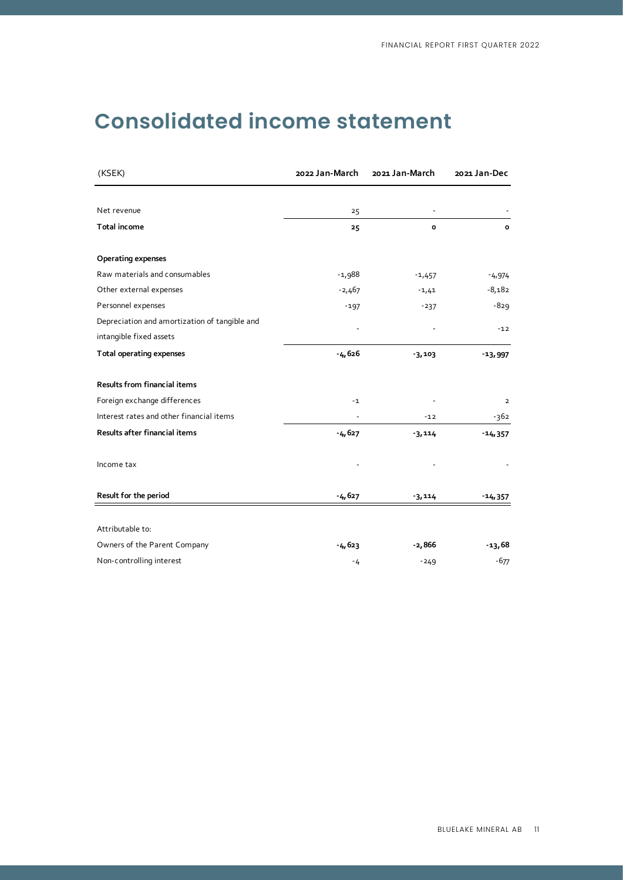# **Consolidated income statement**

| (KSEK)                                        | 2022 Jan-March | 2021 Jan-March | 2021 Jan-Dec   |
|-----------------------------------------------|----------------|----------------|----------------|
|                                               |                |                |                |
| Net revenue                                   | 25             |                |                |
| Total income                                  | 25             | $\mathbf{o}$   | o              |
| <b>Operating expenses</b>                     |                |                |                |
| Raw materials and consumables                 | $-1,988$       | $-1,457$       | $-4,974$       |
| Other external expenses                       | $-2,467$       | $-1,41$        | $-8,182$       |
| Personnel expenses                            | $-197$         | $-237$         | $-829$         |
| Depreciation and amortization of tangible and |                |                | $-12$          |
| intangible fixed assets                       |                |                |                |
| <b>Total operating expenses</b>               | $-4,626$       | $-3,103$       | $-13,997$      |
| Results from financial items                  |                |                |                |
| Foreign exchange differences                  | $-1$           |                | $\overline{2}$ |
| Interest rates and other financial items      |                | $-12$          | -362           |
| Results after financial items                 | $-4,627$       | $-3,114$       | $-14,357$      |
| Income tax                                    |                |                |                |
| Result for the period                         | $-4,627$       | $-3,114$       | $-14,357$      |
|                                               |                |                |                |
| Attributable to:                              |                |                |                |
| Owners of the Parent Company                  | $-4,623$       | $-2,866$       | -13,68         |
| Non-controlling interest                      | $-4$           | $-249$         | $-677$         |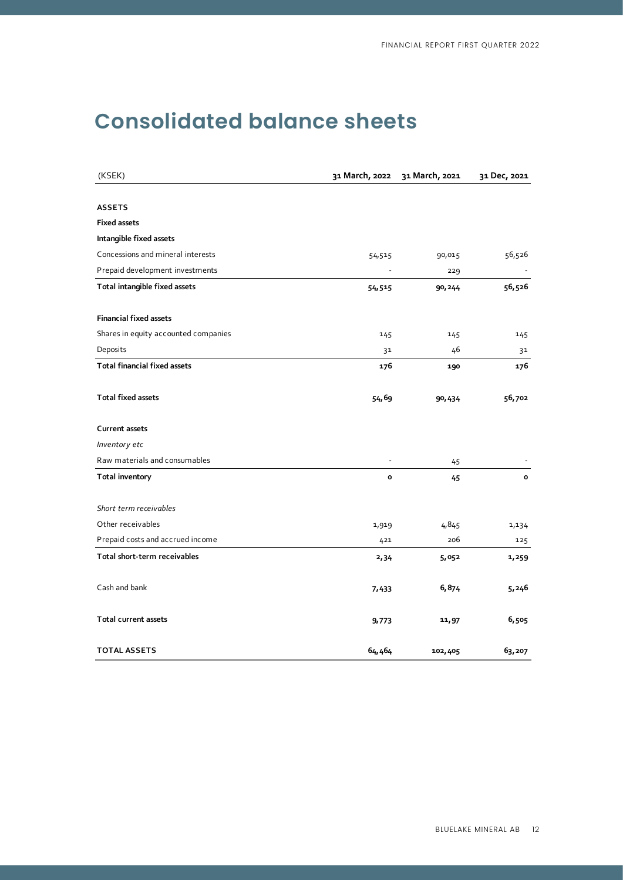# **Consolidated balance sheets**

| (KSEK)                               |              | 31 March, 2022 31 March, 2021 | 31 Dec, 2021 |
|--------------------------------------|--------------|-------------------------------|--------------|
|                                      |              |                               |              |
| <b>ASSETS</b>                        |              |                               |              |
| <b>Fixed assets</b>                  |              |                               |              |
| Intangible fixed assets              |              |                               |              |
| Concessions and mineral interests    | 54,515       | 90,015                        | 56,526       |
| Prepaid development investments      |              | 229                           |              |
| Total intangible fixed assets        | 54,515       | 90, 244                       | 56,526       |
| <b>Financial fixed assets</b>        |              |                               |              |
| Shares in equity accounted companies | 145          | 145                           | 145          |
| Deposits                             | 31           | 46                            | 31           |
| <b>Total financial fixed assets</b>  | 176          | 190                           | 176          |
| <b>Total fixed assets</b>            | 54,69        | 90,434                        | 56,702       |
| <b>Current assets</b>                |              |                               |              |
| Inventory etc                        |              |                               |              |
| Raw materials and consumables        |              | 45                            |              |
| <b>Total inventory</b>               | $\mathbf{o}$ | 45                            | $\mathbf{o}$ |
| Short term receivables               |              |                               |              |
| Other receivables                    | 1,919        | 4,845                         | 1,134        |
| Prepaid costs and accrued income     | 421          | 206                           | 125          |
| Total short-term receivables         | 2,34         | 5,052                         | 1,259        |
| Cash and bank                        | 7,433        | 6,874                         | 5,246        |
| <b>Total current assets</b>          | 9,773        | 11,97                         | 6,505        |
| <b>TOTAL ASSETS</b>                  | 64,464       | 102,405                       | 63,207       |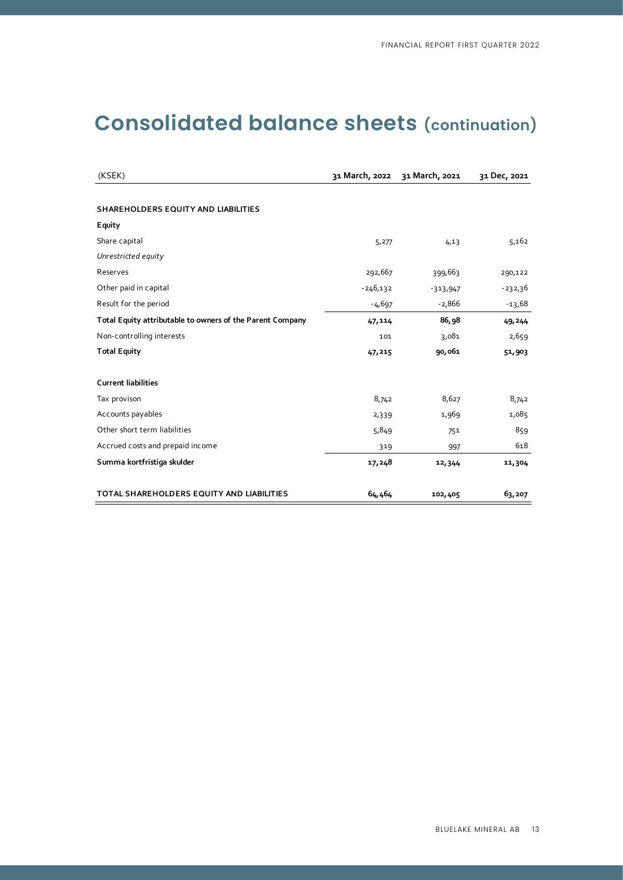# **Consolidated balance sheets (continuation)**

| (KSEK)                                                    | 31 March, 2022 | 31 March, 2021 | 31 Dec, 2021 |
|-----------------------------------------------------------|----------------|----------------|--------------|
|                                                           |                |                |              |
| SHAREHOLDERS EQUITY AND LIABILITIES                       |                |                |              |
| Equity                                                    |                |                |              |
| Share capital                                             | 5,277          | 4,13           | 5,162        |
| Unrestricted equity                                       |                |                |              |
| Reserves                                                  | 292,667        | 399,663        | 290,122      |
| Other paid in capital                                     | $-246,132$     | $-313,947$     | $-232,36$    |
| Result for the period                                     | $-4,697$       | $-2,866$       | $-13,68$     |
| Total Equity attributable to owners of the Parent Company | 47,114         | 86,98          | 49, 244      |
| Non-controlling interests                                 | 101            | 3,081          | 2,659        |
| <b>Total Equity</b>                                       | 47,215         | 90,061         | 51,903       |
|                                                           |                |                |              |
| <b>Current liabilities</b>                                |                |                |              |
| Tax provison                                              | 8,742          | 8,627          | 8,742        |
| Accounts payables                                         | 2,339          | 1,969          | 1,085        |
| Other short term liabilities                              | 5,849          | 751            | 859          |
| Accrued costs and prepaid income                          | 319            | 997            | 618          |
| Summa kortfristiga skulder                                | 17,248         | 12,344         | 11,304       |
| TOTAL SHAREHOLDERS EQUITY AND LIABILITIES                 | 64,464         | 102,405        | 63,207       |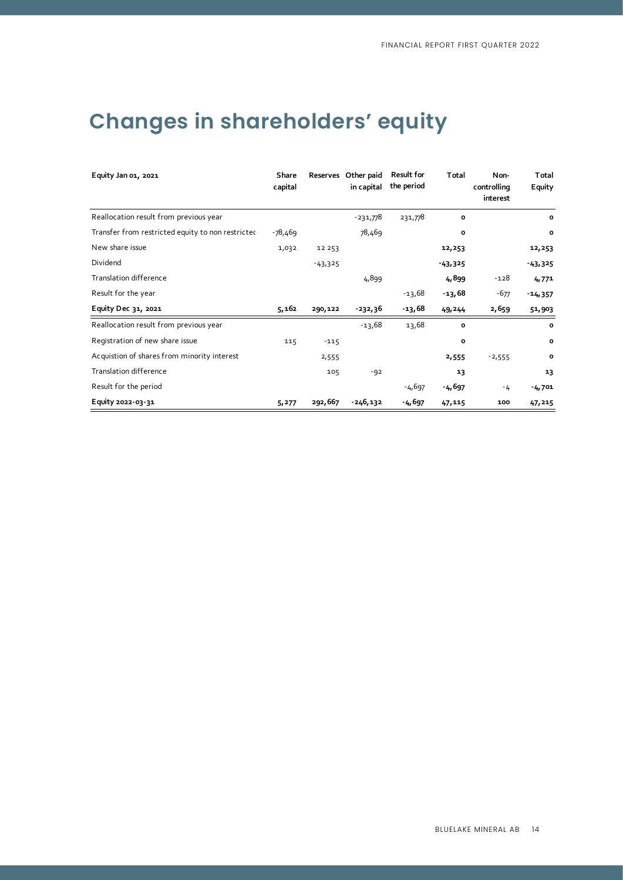# **Changes in shareholders' equity**

| Equity Jan 01, 2021                               | Share<br>capital |           | Reserves Other paid<br>in capital | <b>Result for</b><br>the period | Total        | Non-<br>controlling<br>interest | Total<br>Equity |
|---------------------------------------------------|------------------|-----------|-----------------------------------|---------------------------------|--------------|---------------------------------|-----------------|
| Reallocation result from previous year            |                  |           | $-231,778$                        | 231,778                         | $\mathbf{o}$ |                                 | $\mathbf{o}$    |
| Transfer from restricted equity to non restricted | -78,469          |           | 78,469                            |                                 | o            |                                 | $\mathbf o$     |
| New share issue                                   | 1,032            | 12 253    |                                   |                                 | 12,253       |                                 | 12,253          |
| Dividend                                          |                  | $-43,325$ |                                   |                                 | $-43,325$    |                                 | $-43,325$       |
| Translation difference                            |                  |           | 4,899                             |                                 | 4,899        | $-128$                          | 4,771           |
| Result for the year                               |                  |           |                                   | $-13,68$                        | $-13,68$     | $-677$                          | $-14,357$       |
| Equity Dec 31, 2021                               | 5,162            | 290,122   | -232,36                           | -13,68                          | 49,244       | 2,659                           | 51,903          |
| Reallocation result from previous year            |                  |           | $-13,68$                          | 13,68                           | O            |                                 | $\mathbf o$     |
| Registration of new share issue                   | 115              | $-115$    |                                   |                                 | o            |                                 | o               |
| Acquistion of shares from minority interest       |                  | 2,555     |                                   |                                 | 2,555        | $-2,555$                        | o               |
| Translation difference                            |                  | 105       | $-92$                             |                                 | 13           |                                 | 13              |
| Result for the period                             |                  |           |                                   | $-4,697$                        | $-4,697$     | $-4$                            | $-4,701$        |
| Equity 2022-03-31                                 | 5,277            | 292,667   | -246,132                          | $-4,697$                        | 47,115       | 100                             | 47,215          |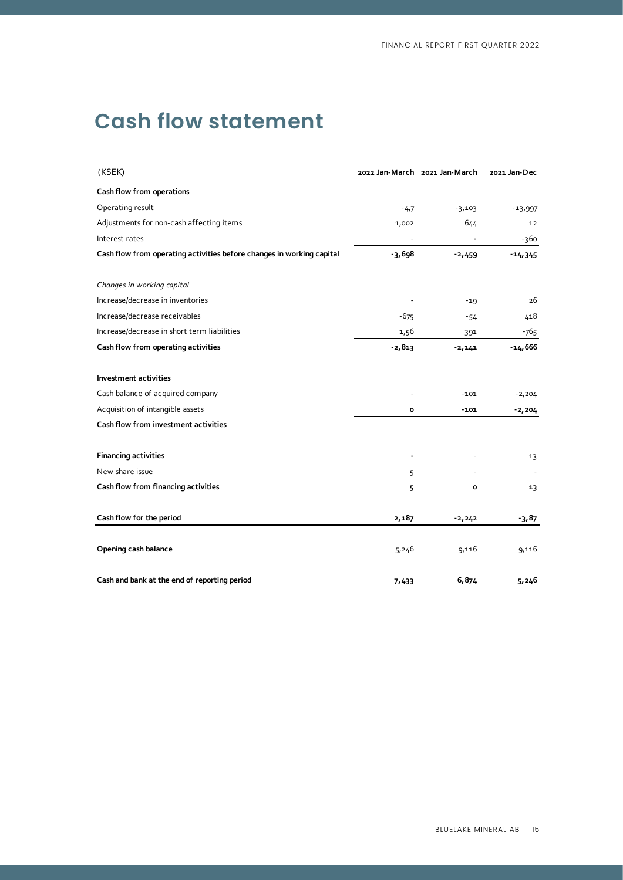# **Cash flow statement**

| (KSEK)                                                                |          | 2022 Jan-March 2021 Jan-March | 2021 Jan-Dec |
|-----------------------------------------------------------------------|----------|-------------------------------|--------------|
| Cash flow from operations                                             |          |                               |              |
| Operating result                                                      | $-4,7$   | $-3,103$                      | $-13,997$    |
| Adjustments for non-cash affecting items                              | 1,002    | 644                           | 12           |
| Interest rates                                                        |          |                               | -360         |
| Cash flow from operating activities before changes in working capital | $-3,698$ | $-2,459$                      | $-14,345$    |
| Changes in working capital                                            |          |                               |              |
| Increase/decrease in inventories                                      |          | $-19$                         | 26           |
| Increase/decrease receivables                                         | $-675$   | -54                           | 418          |
| Increase/decrease in short term liabilities                           | 1,56     | 391                           | -765         |
| Cash flow from operating activities                                   | $-2,813$ | $-2,141$                      | $-14,666$    |
| <b>Investment activities</b>                                          |          |                               |              |
| Cash balance of acquired company                                      |          | $-101$                        | $-2,204$     |
| Acquisition of intangible assets                                      | o        | $-101$                        | $-2,204$     |
| Cash flow from investment activities                                  |          |                               |              |
| <b>Financing activities</b>                                           |          |                               | 13           |
| New share issue                                                       | 5        |                               |              |
| Cash flow from financing activities                                   | 5        | $\mathbf o$                   | 13           |
| Cash flow for the period                                              | 2,187    | $-2, 242$                     | -3,87        |
| Opening cash balance                                                  | 5,246    | 9,116                         | 9,116        |
| Cash and bank at the end of reporting period                          | 7,433    | 6,874                         | 5,246        |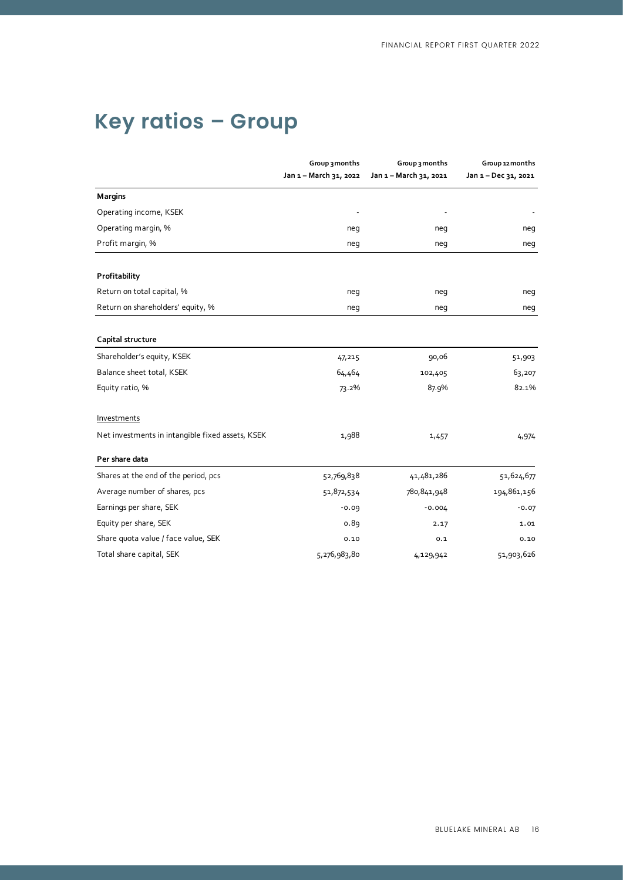### **2022-01-01--2022-03-31 2021-01-01--2021-03-31 2021-01-01--2021-12-31 Key ratios – Group**

|                                                  | Group 3 months<br>Jan 1 - March 31, 2022 | Group 3 months<br>Jan 1 - March 31, 2021 | Group 12 months<br>Jan 1 - Dec 31, 2021 |
|--------------------------------------------------|------------------------------------------|------------------------------------------|-----------------------------------------|
| <b>Margins</b>                                   |                                          |                                          |                                         |
| Operating income, KSEK                           |                                          |                                          |                                         |
| Operating margin, %                              | neg                                      | neg                                      | neg                                     |
| Profit margin, %                                 | neg                                      | neg                                      | neg                                     |
| Profitability                                    |                                          |                                          |                                         |
| Return on total capital, %                       | neg                                      | neg                                      | neg                                     |
| Return on shareholders' equity, %                | neg                                      | neg                                      | neg                                     |
| Capital structure                                |                                          |                                          |                                         |
| Shareholder's equity, KSEK                       | 47,215                                   | 90,06                                    | 51,903                                  |
| Balance sheet total, KSEK                        | 64,464                                   | 102,405                                  | 63,207                                  |
| Equity ratio, %                                  | 73.2%                                    | 87.9%                                    | 82.1%                                   |
| Investments                                      |                                          |                                          |                                         |
| Net investments in intangible fixed assets, KSEK | 1,988                                    | 1,457                                    | 4,974                                   |
| Per share data                                   |                                          |                                          |                                         |
| Shares at the end of the period, pcs             | 52,769,838                               | 41,481,286                               | 51,624,677                              |
| Average number of shares, pcs                    | 51,872,534                               | 780,841,948                              | 194,861,156                             |
| Earnings per share, SEK                          | $-0.09$                                  | $-0.004$                                 | $-0.07$                                 |
| Equity per share, SEK                            | 0.89                                     | 2.17                                     | 1.01                                    |
| Share quota value / face value, SEK              | 0.10                                     | 0.1                                      | 0.10                                    |
| Total share capital, SEK                         | 5,276,983,80                             | 4,129,942                                | 51,903,626                              |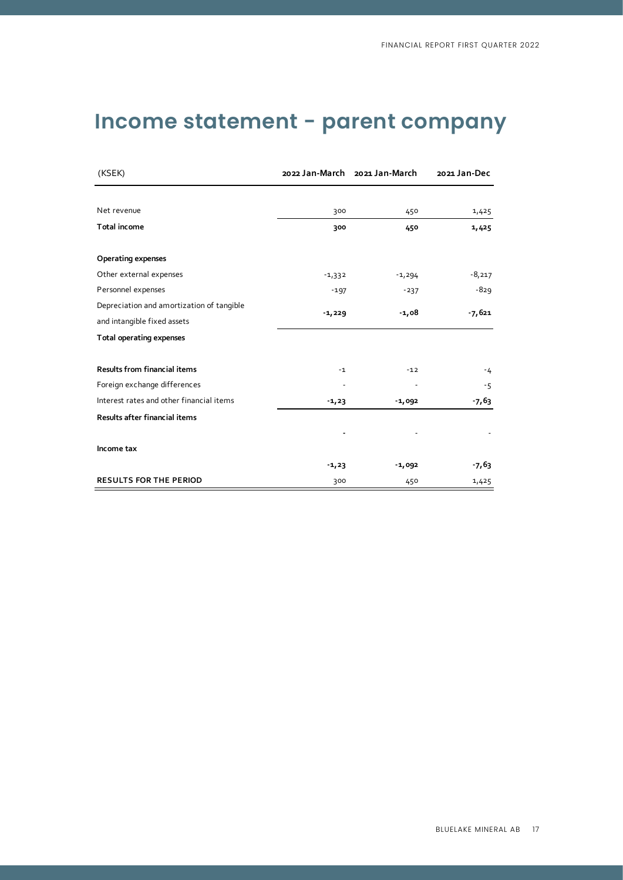# **Income statement - parent company**

| (KSEK)                                    |          | 2022 Jan-March 2021 Jan-March | 2021 Jan-Dec |
|-------------------------------------------|----------|-------------------------------|--------------|
|                                           |          |                               |              |
| Net revenue                               | 300      | 450                           | 1,425        |
| Total income                              | 300      | 450                           | 1,425        |
| <b>Operating expenses</b>                 |          |                               |              |
| Other external expenses                   | $-1,332$ | $-1,294$                      | $-8,217$     |
| Personnel expenses                        | $-197$   | $-237$                        | $-829$       |
| Depreciation and amortization of tangible |          | $-1,08$                       | $-7,621$     |
| and intangible fixed assets               | $-1,229$ |                               |              |
| <b>Total operating expenses</b>           |          |                               |              |
| <b>Results from financial items</b>       | $-1$     | $-12$                         | $-4$         |
| Foreign exchange differences              |          |                               | $-5$         |
| Interest rates and other financial items  | $-1,23$  | $-1,092$                      | $-7,63$      |
| Results after financial items             |          |                               |              |
|                                           |          |                               |              |
| Income tax                                |          |                               |              |
|                                           | $-1,23$  | $-1,092$                      | $-7,63$      |
| <b>RESULTS FOR THE PERIOD</b>             | 300      | 450                           | 1,425        |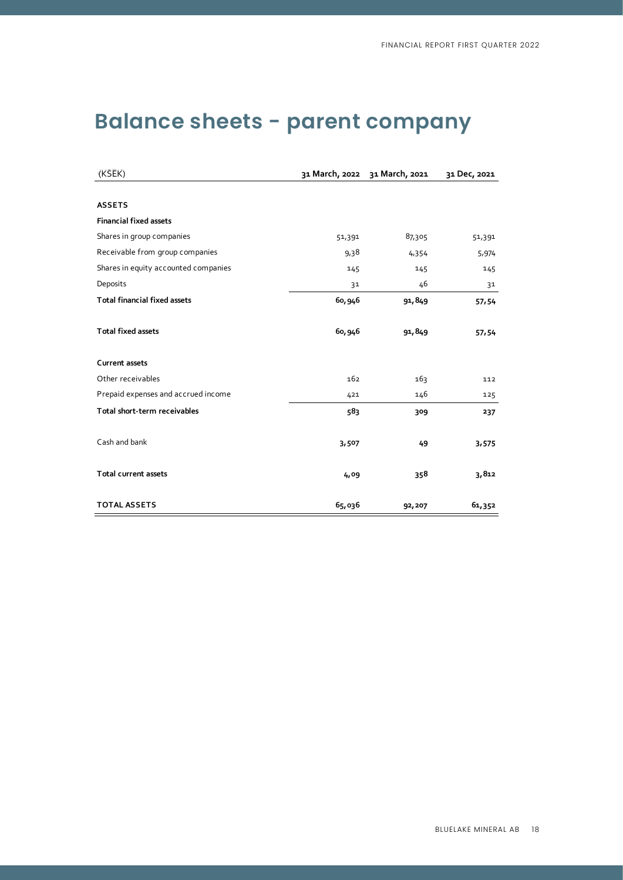| (KSEK)                               |        | 31 March, 2022 31 March, 2021 | 31 Dec, 2021 |
|--------------------------------------|--------|-------------------------------|--------------|
|                                      |        |                               |              |
| <b>ASSETS</b>                        |        |                               |              |
| <b>Financial fixed assets</b>        |        |                               |              |
| Shares in group companies            | 51,391 | 87,305                        | 51,391       |
| Receivable from group companies      | 9,38   | 4,354                         | 5,974        |
| Shares in equity accounted companies | 145    | 145                           | 145          |
| Deposits                             | 31     | 46                            | 31           |
| <b>Total financial fixed assets</b>  | 60,946 | 91,849                        | 57,54        |
|                                      |        |                               |              |
| <b>Total fixed assets</b>            | 60,946 | 91,849                        | 57,54        |
|                                      |        |                               |              |
| <b>Current assets</b>                |        |                               |              |
| Other receivables                    | 162    | 163                           | 112          |
| Prepaid expenses and accrued income  | 421    | 146                           | 125          |
| Total short-term receivables         | 583    | 309                           | 237          |
|                                      |        |                               |              |
| Cash and bank                        | 3,507  | 49                            | 3,575        |
|                                      |        |                               |              |
| <b>Total current assets</b>          | 4,09   | 358                           | 3,812        |
|                                      |        |                               |              |
| <b>TOTAL ASSETS</b>                  | 65,036 | 92,207                        | 61,352       |

# **Balance sheets - parent company**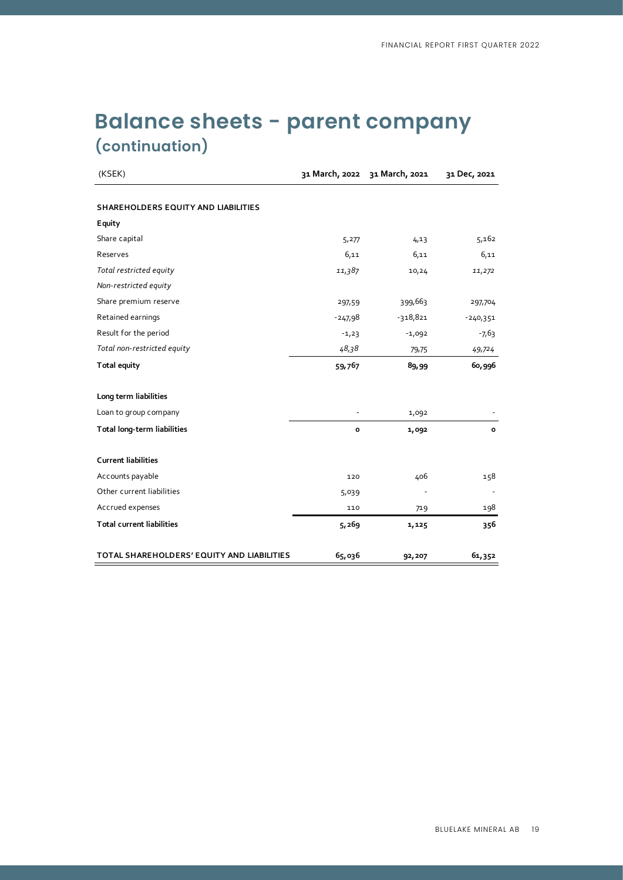| (KSEK)                                     |           | 31 March, 2022 31 March, 2021 | 31 Dec, 2021 |
|--------------------------------------------|-----------|-------------------------------|--------------|
|                                            |           |                               |              |
| SHAREHOLDERS EQUITY AND LIABILITIES        |           |                               |              |
| Equity                                     |           |                               |              |
| Share capital                              | 5,277     | 4,13                          | 5,162        |
| Reserves                                   | 6,11      | 6,11                          | 6,11         |
| Total restricted equity                    | 11,387    | 10,24                         | 11,272       |
| Non-restricted equity                      |           |                               |              |
| Share premium reserve                      | 297,59    | 399,663                       | 297,704      |
| Retained earnings                          | $-247.98$ | $-318,821$                    | $-240,351$   |
| Result for the period                      | $-1,23$   | $-1,092$                      | $-7,63$      |
| Total non-restricted equity                | 48,38     | 79,75                         | 49,724       |
| <b>Total equity</b>                        | 59,767    | 89,99                         | 60,996       |
| Long term liabilities                      |           |                               |              |
| Loan to group company                      |           | 1,092                         |              |
| Total long-term liabilities                | o         | 1,092                         | $\mathbf{o}$ |
| <b>Current liabilities</b>                 |           |                               |              |
| Accounts payable                           | 120       | 406                           | 158          |
| Other current liabilities                  | 5,039     |                               |              |
| Accrued expenses                           | 110       | 719                           | 198          |
| <b>Total current liabilities</b>           | 5,269     | 1,125                         | 356          |
| TOTAL SHAREHOLDERS' EQUITY AND LIABILITIES | 65,036    | 92,207                        | 61,352       |

# **Balance sheets - parent company (continuation)**